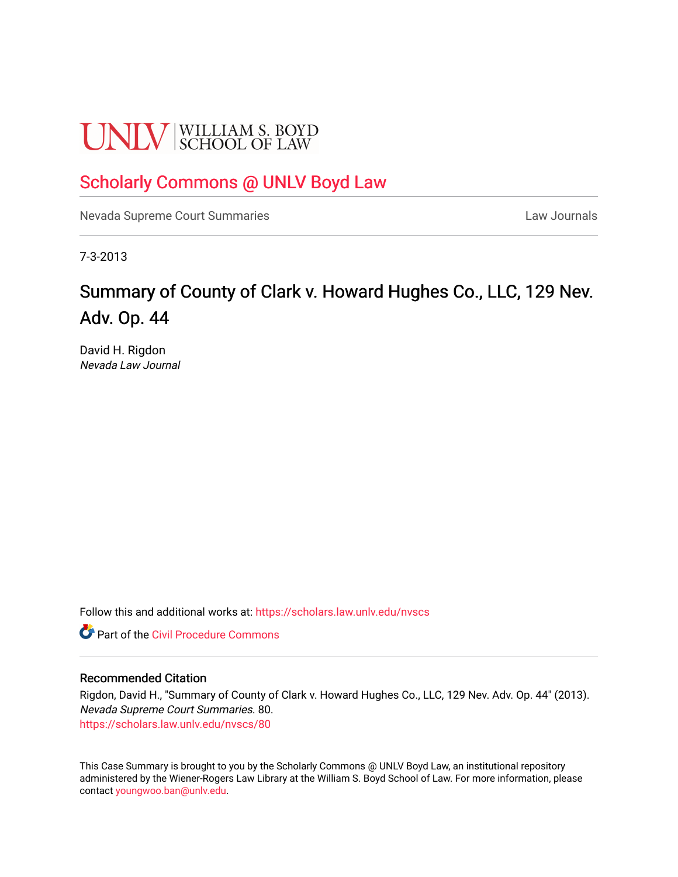# **UNLV** SCHOOL OF LAW

### [Scholarly Commons @ UNLV Boyd Law](https://scholars.law.unlv.edu/)

[Nevada Supreme Court Summaries](https://scholars.law.unlv.edu/nvscs) **Law Journals** Law Journals

7-3-2013

## Summary of County of Clark v. Howard Hughes Co., LLC, 129 Nev. Adv. Op. 44

David H. Rigdon Nevada Law Journal

Follow this and additional works at: [https://scholars.law.unlv.edu/nvscs](https://scholars.law.unlv.edu/nvscs?utm_source=scholars.law.unlv.edu%2Fnvscs%2F80&utm_medium=PDF&utm_campaign=PDFCoverPages)

**C** Part of the Civil Procedure Commons

#### Recommended Citation

Rigdon, David H., "Summary of County of Clark v. Howard Hughes Co., LLC, 129 Nev. Adv. Op. 44" (2013). Nevada Supreme Court Summaries. 80. [https://scholars.law.unlv.edu/nvscs/80](https://scholars.law.unlv.edu/nvscs/80?utm_source=scholars.law.unlv.edu%2Fnvscs%2F80&utm_medium=PDF&utm_campaign=PDFCoverPages) 

This Case Summary is brought to you by the Scholarly Commons @ UNLV Boyd Law, an institutional repository administered by the Wiener-Rogers Law Library at the William S. Boyd School of Law. For more information, please contact [youngwoo.ban@unlv.edu](mailto:youngwoo.ban@unlv.edu).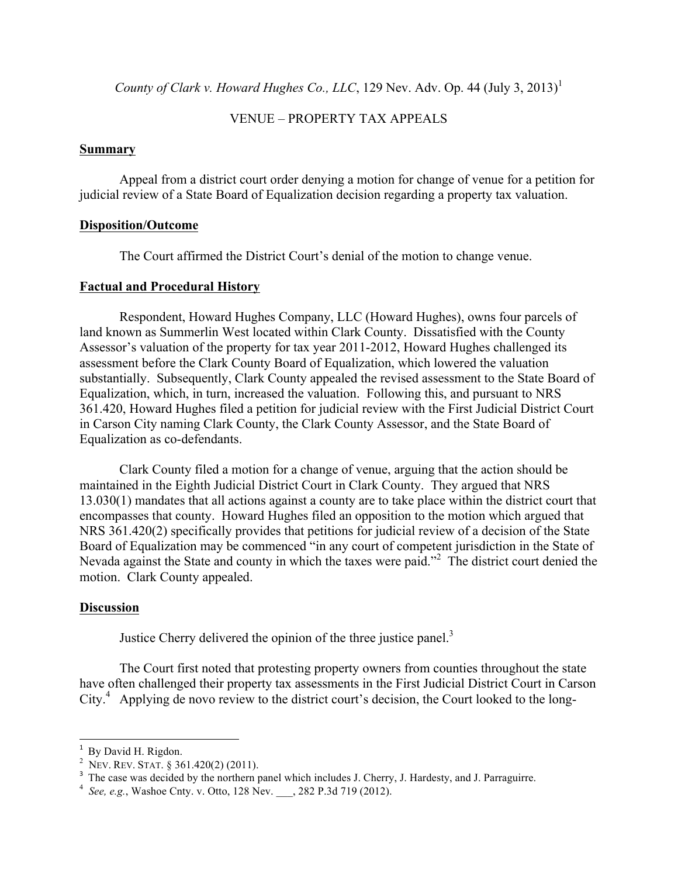County of Clark v. Howard Hughes Co., LLC, 129 Nev. Adv. Op. 44 (July 3, 2013)<sup>1</sup>

#### VENUE – PROPERTY TAX APPEALS

#### **Summary**

Appeal from a district court order denying a motion for change of venue for a petition for judicial review of a State Board of Equalization decision regarding a property tax valuation.

#### **Disposition/Outcome**

The Court affirmed the District Court's denial of the motion to change venue.

#### **Factual and Procedural History**

Respondent, Howard Hughes Company, LLC (Howard Hughes), owns four parcels of land known as Summerlin West located within Clark County. Dissatisfied with the County Assessor's valuation of the property for tax year 2011-2012, Howard Hughes challenged its assessment before the Clark County Board of Equalization, which lowered the valuation substantially. Subsequently, Clark County appealed the revised assessment to the State Board of Equalization, which, in turn, increased the valuation. Following this, and pursuant to NRS 361.420, Howard Hughes filed a petition for judicial review with the First Judicial District Court in Carson City naming Clark County, the Clark County Assessor, and the State Board of Equalization as co-defendants.

Clark County filed a motion for a change of venue, arguing that the action should be maintained in the Eighth Judicial District Court in Clark County. They argued that NRS 13.030(1) mandates that all actions against a county are to take place within the district court that encompasses that county. Howard Hughes filed an opposition to the motion which argued that NRS 361.420(2) specifically provides that petitions for judicial review of a decision of the State Board of Equalization may be commenced "in any court of competent jurisdiction in the State of Nevada against the State and county in which the taxes were paid."<sup>2</sup> The district court denied the motion. Clark County appealed.

#### **Discussion**

Justice Cherry delivered the opinion of the three justice panel.<sup>3</sup>

The Court first noted that protesting property owners from counties throughout the state have often challenged their property tax assessments in the First Judicial District Court in Carson City.<sup>4</sup> Applying de novo review to the district court's decision, the Court looked to the long-

<sup>&</sup>lt;sup>1</sup> By David H. Rigdon.

<sup>&</sup>lt;sup>2</sup> Nev. Rev. STAT. § 361.420(2) (2011).

<sup>&</sup>lt;sup>3</sup> The case was decided by the northern panel which includes J. Cherry, J. Hardesty, and J. Parraguirre.

<sup>4</sup> *See, e.g.*, Washoe Cnty. v. Otto, 128 Nev. \_\_\_, 282 P.3d 719 (2012).